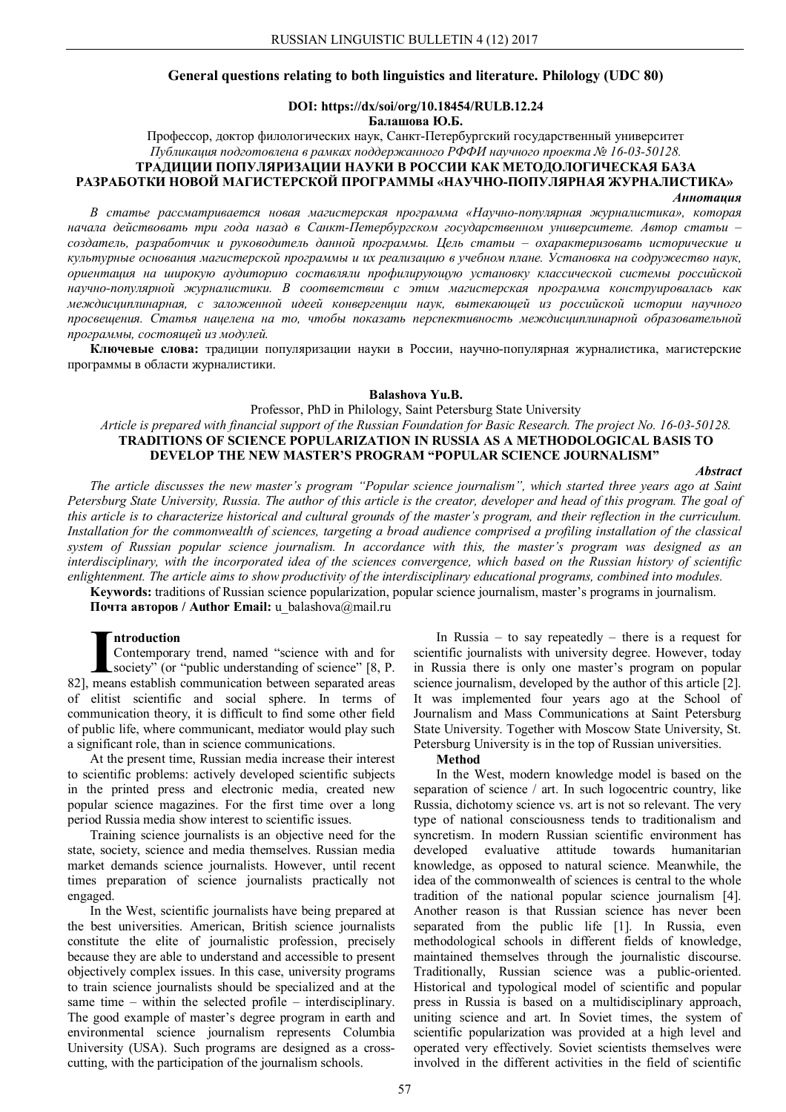# **General questions relating to both linguistics and literature. Philology (UDC 80)**

## **DOI: https://dx/soi/org/10.18454/RULB.12.24 Балашова Ю.Б.**

Профессор, доктор филологических наук, Санкт-Петербургский государственный университет *Публикация подготовлена в рамках поддержанного РФФИ научного проекта № 16-03-50128.* **ТРАДИЦИИ ПОПУЛЯРИЗАЦИИ НАУКИ В РОССИИ КАК МЕТОДОЛОГИЧЕСКАЯ БАЗА РАЗРАБОТКИ НОВОЙ МАГИСТЕРСКОЙ ПРОГРАММЫ «НАУЧНО-ПОПУЛЯРНАЯ ЖУРНАЛИСТИКА»**

*Аннотация*

*В статье рассматривается новая магистерская программа «Научно-популярная журналистика», которая начала действовать три года назад в Санкт-Петербургском государственном университете. Автор статьи – создатель, разработчик и руководитель данной программы. Цель статьи – охарактеризовать исторические и культурные основания магистерской программы и их реализацию в учебном плане. Установка на содружество наук, ориентация на широкую аудиторию составляли профилирующую установку классической системы российской научно-популярной журналистики. В соответствии с этим магистерская программа конструировалась как междисциплинарная, с заложенной идеей конвергенции наук, вытекающей из российской истории научного просвещения. Статья нацелена на то, чтобы показать перспективность междисциплинарной образовательной программы, состоящей из модулей.*

**Ключевые слова:** традиции популяризации науки в России, научно-популярная журналистика, магистерские программы в области журналистики.

#### **Balashova Yu.B.**

Professor, PhD in Philology, Saint Petersburg State University *Article is prepared with financial support of the Russian Foundation for Basic Research. The project No. 16-03-50128.* **TRADITIONS OF SCIENCE POPULARIZATION IN RUSSIA AS A METHODOLOGICAL BASIS TO** 

**DEVELOP THE NEW MASTER'S PROGRAM "POPULAR SCIENCE JOURNALISM"**

*Abstract*

*The article discusses the new master's program "Popular science journalism", which started three years ago at Saint Petersburg State University, Russia. The author of this article is the creator, developer and head of this program. The goal of this article is to characterize historical and cultural grounds of the master's program, and their reflection in the curriculum. Installation for the commonwealth of sciences, targeting a broad audience comprised a profiling installation of the classical system of Russian popular science journalism. In accordance with this, the master's program was designed as an interdisciplinary, with the incorporated idea of the sciences convergence, which based on the Russian history of scientific enlightenment. The article aims to show productivity of the interdisciplinary educational programs, combined into modules.*

**Keywords:** traditions of Russian science popularization, popular science journalism, master's programs in journalism. **Почта авторов / Author Email:** u\_balashova@mail.ru

# **ntroduction**

Contemporary trend, named "science with and for society" (or "public understanding of science" [8, P. **Introduction**<br>Contemporary trend, named "science with and for<br>society" (or "public understanding of science" [8, P.<br>82], means establish communication between separated areas of elitist scientific and social sphere. In terms of communication theory, it is difficult to find some other field of public life, where communicant, mediator would play such a significant role, than in science communications.

At the present time, Russian media increase their interest to scientific problems: actively developed scientific subjects in the printed press and electronic media, created new popular science magazines. For the first time over a long period Russia media show interest to scientific issues.

Training science journalists is an objective need for the state, society, science and media themselves. Russian media market demands science journalists. However, until recent times preparation of science journalists practically not engaged.

In the West, scientific journalists have being prepared at the best universities. American, British science journalists constitute the elite of journalistic profession, precisely because they are able to understand and accessible to present objectively complex issues. In this case, university programs to train science journalists should be specialized and at the same time – within the selected profile – interdisciplinary. The good example of master's degree program in earth and environmental science journalism represents Columbia University (USA). Such programs are designed as a crosscutting, with the participation of the journalism schools.

In Russia – to say repeatedly – there is a request for scientific journalists with university degree. However, today in Russia there is only one master's program on popular science journalism, developed by the author of this article [2]. It was implemented four years ago at the School of Journalism and Mass Communications at Saint Petersburg State University. Together with Moscow State University, St. Petersburg University is in the top of Russian universities.

#### **Method**

In the West, modern knowledge model is based on the separation of science / art. In such logocentric country, like Russia, dichotomy science vs. art is not so relevant. The very type of national consciousness tends to traditionalism and syncretism. In modern Russian scientific environment has developed evaluative attitude towards humanitarian knowledge, as opposed to natural science. Meanwhile, the idea of the commonwealth of sciences is central to the whole tradition of the national popular science journalism [4]. Another reason is that Russian science has never been separated from the public life [1]. In Russia, even methodological schools in different fields of knowledge, maintained themselves through the journalistic discourse. Traditionally, Russian science was a public-oriented. Historical and typological model of scientific and popular press in Russia is based on a multidisciplinary approach, uniting science and art. In Soviet times, the system of scientific popularization was provided at a high level and operated very effectively. Soviet scientists themselves were involved in the different activities in the field of scientific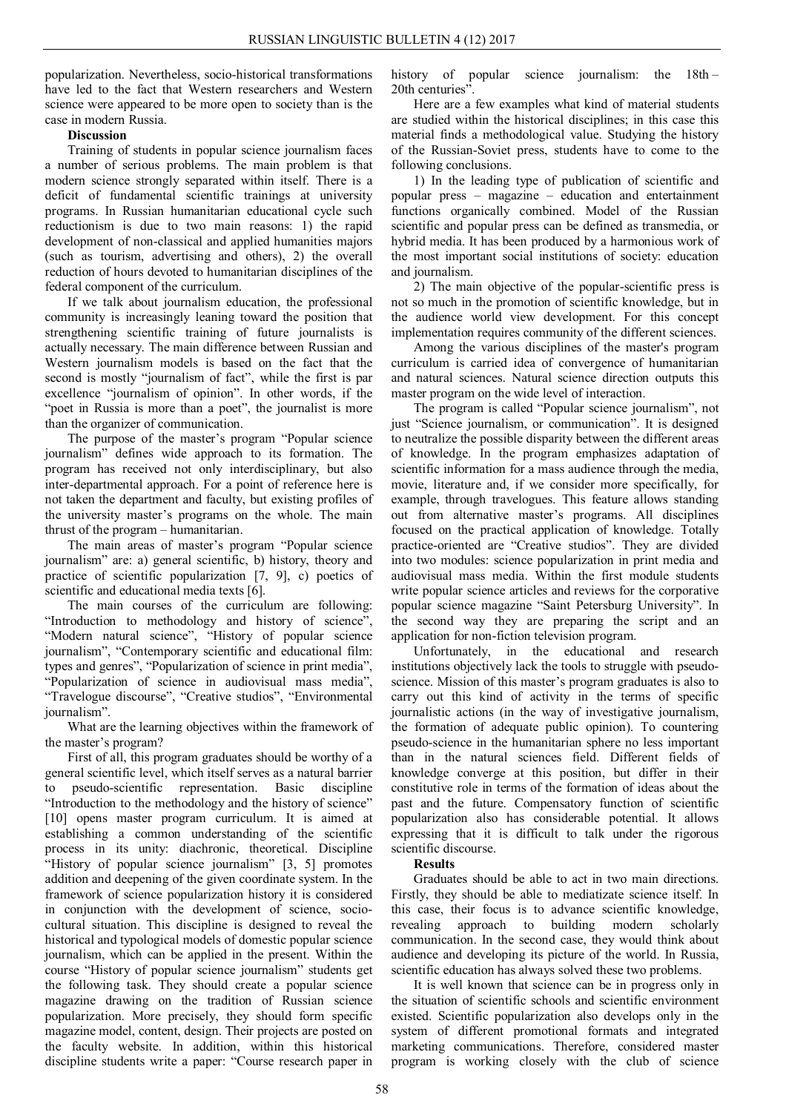popularization. Nevertheless, socio-historical transformations have led to the fact that Western researchers and Western science were appeared to be more open to society than is the case in modern Russia.

# **Discussion**

Training of students in popular science journalism faces a number of serious problems. The main problem is that modern science strongly separated within itself. There is a deficit of fundamental scientific trainings at university programs. In Russian humanitarian educational cycle such reductionism is due to two main reasons: 1) the rapid development of non-classical and applied humanities majors (such as tourism, advertising and others), 2) the overall reduction of hours devoted to humanitarian disciplines of the federal component of the curriculum.

If we talk about journalism education, the professional community is increasingly leaning toward the position that strengthening scientific training of future journalists is actually necessary. The main difference between Russian and Western journalism models is based on the fact that the second is mostly "journalism of fact", while the first is par excellence "journalism of opinion". In other words, if the "poet in Russia is more than a poet", the journalist is more than the organizer of communication.

The purpose of the master's program "Popular science journalism" defines wide approach to its formation. The program has received not only interdisciplinary, but also inter-departmental approach. For a point of reference here is not taken the department and faculty, but existing profiles of the university master's programs on the whole. The main thrust of the program – humanitarian.

The main areas of master's program "Popular science journalism" are: a) general scientific, b) history, theory and practice of scientific popularization [7, 9], c) poetics of scientific and educational media texts [6].

The main courses of the curriculum are following: "Introduction to methodology and history of science", "Modern natural science", "History of popular science journalism", "Contemporary scientific and educational film: types and genres", "Popularization of science in print media", "Popularization of science in audiovisual mass media", "Travelogue discourse", "Creative studios", "Environmental journalism".

What are the learning objectives within the framework of the master's program?

First of all, this program graduates should be worthy of a general scientific level, which itself serves as a natural barrier to pseudo-scientific representation. Basic discipline "Introduction to the methodology and the history of science" [10] opens master program curriculum. It is aimed at establishing a common understanding of the scientific process in its unity: diachronic, theoretical. Discipline "History of popular science journalism" [3, 5] promotes addition and deepening of the given coordinate system. In the framework of science popularization history it is considered in conjunction with the development of science, sociocultural situation. This discipline is designed to reveal the historical and typological models of domestic popular science journalism, which can be applied in the present. Within the course "History of popular science journalism" students get the following task. They should create a popular science magazine drawing on the tradition of Russian science popularization. More precisely, they should form specific magazine model, content, design. Their projects are posted on the faculty website. In addition, within this historical discipline students write a paper: "Course research paper in

history of popular science journalism: the 18th – 20th centuries".

Here are a few examples what kind of material students are studied within the historical disciplines; in this case this material finds a methodological value. Studying the history of the Russian-Soviet press, students have to come to the following conclusions.

1) In the leading type of publication of scientific and popular press – magazine – education and entertainment functions organically combined. Model of the Russian scientific and popular press can be defined as transmedia, or hybrid media. It has been produced by a harmonious work of the most important social institutions of society: education and journalism.

2) The main objective of the popular-scientific press is not so much in the promotion of scientific knowledge, but in the audience world view development. For this concept implementation requires community of the different sciences.

Among the various disciplines of the master's program curriculum is carried idea of convergence of humanitarian and natural sciences. Natural science direction outputs this master program on the wide level of interaction.

The program is called "Popular science journalism", not just "Science journalism, or communication". It is designed to neutralize the possible disparity between the different areas of knowledge. In the program emphasizes adaptation of scientific information for a mass audience through the media, movie, literature and, if we consider more specifically, for example, through travelogues. This feature allows standing out from alternative master's programs. All disciplines focused on the practical application of knowledge. Totally practice-oriented are "Creative studios". They are divided into two modules: science popularization in print media and audiovisual mass media. Within the first module students write popular science articles and reviews for the corporative popular science magazine "Saint Petersburg University". In the second way they are preparing the script and an application for non-fiction television program.

Unfortunately, in the educational and research institutions objectively lack the tools to struggle with pseudoscience. Mission of this master's program graduates is also to carry out this kind of activity in the terms of specific journalistic actions (in the way of investigative journalism, the formation of adequate public opinion). To countering pseudo-science in the humanitarian sphere no less important than in the natural sciences field. Different fields of knowledge converge at this position, but differ in their constitutive role in terms of the formation of ideas about the past and the future. Compensatory function of scientific popularization also has considerable potential. It allows expressing that it is difficult to talk under the rigorous scientific discourse.

# **Results**

Graduates should be able to act in two main directions. Firstly, they should be able to mediatizate science itself. In this case, their focus is to advance scientific knowledge, revealing approach to building modern scholarly communication. In the second case, they would think about audience and developing its picture of the world. In Russia, scientific education has always solved these two problems.

It is well known that science can be in progress only in the situation of scientific schools and scientific environment existed. Scientific popularization also develops only in the system of different promotional formats and integrated marketing communications. Therefore, considered master program is working closely with the club of science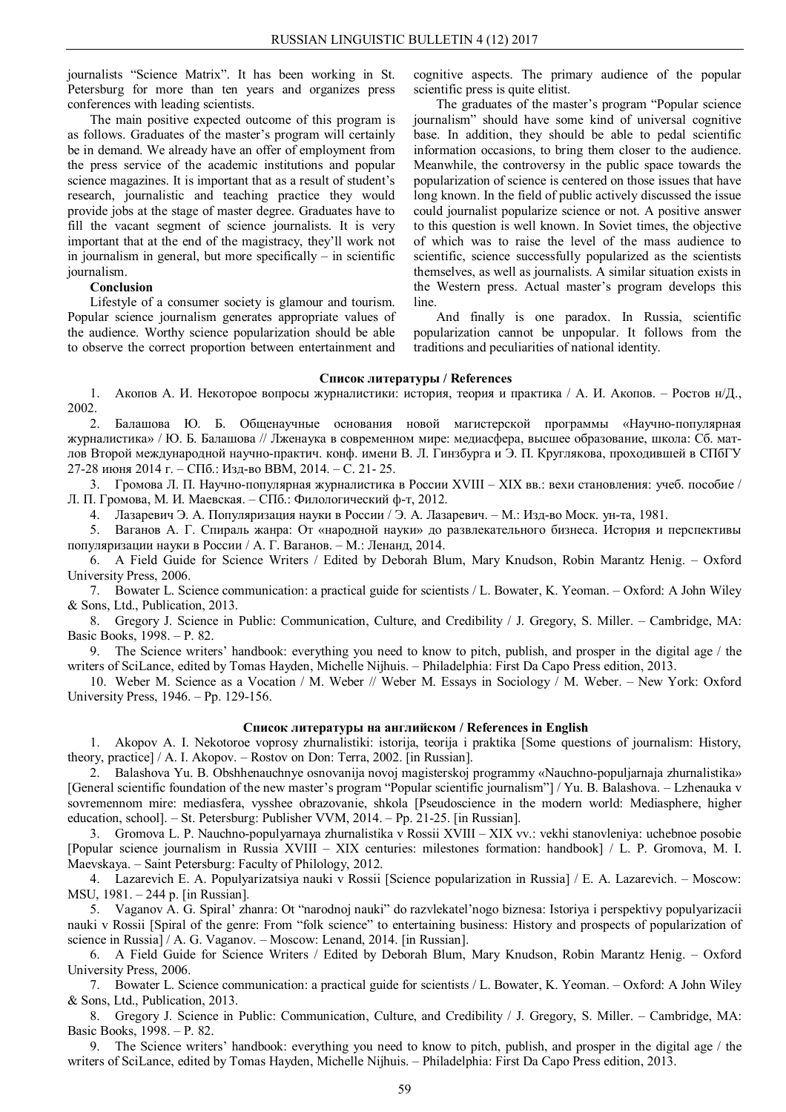journalists "Science Matrix". It has been working in St. Petersburg for more than ten years and organizes press conferences with leading scientists.

The main positive expected outcome of this program is as follows. Graduates of the master's program will certainly be in demand. We already have an offer of employment from the press service of the academic institutions and popular science magazines. It is important that as a result of student's research, journalistic and teaching practice they would provide jobs at the stage of master degree. Graduates have to fill the vacant segment of science journalists. It is very important that at the end of the magistracy, they'll work not in journalism in general, but more specifically – in scientific journalism.

# **Conclusion**

Lifestyle of a consumer society is glamour and tourism. Popular science journalism generates appropriate values of the audience. Worthy science popularization should be able to observe the correct proportion between entertainment and

cognitive aspects. The primary audience of the popular scientific press is quite elitist.

The graduates of the master's program "Popular science journalism" should have some kind of universal cognitive base. In addition, they should be able to pedal scientific information occasions, to bring them closer to the audience. Meanwhile, the controversy in the public space towards the popularization of science is centered on those issues that have long known. In the field of public actively discussed the issue could journalist popularize science or not. A positive answer to this question is well known. In Soviet times, the objective of which was to raise the level of the mass audience to scientific, science successfully popularized as the scientists themselves, as well as journalists. A similar situation exists in the Western press. Actual master's program develops this line.

And finally is one paradox. In Russia, scientific popularization cannot be unpopular. It follows from the traditions and peculiarities of national identity.

### **Список литературы / References**

1. Акопов А. И. Некоторое вопросы журналистики: история, теория и практика / А. И. Акопов. – Ростов н/Д., 2002.

2. Балашова Ю. Б. Общенаучные основания новой магистерской программы «Научно-популярная журналистика» / Ю. Б. Балашова // Лженаука в современном мире: медиасфера, высшее образование, школа: Сб. матлов Второй международной научно-практич. конф. имени В. Л. Гинзбурга и Э. П. Круглякова, проходившей в СПбГУ 27-28 июня 2014 г. – СПб.: Изд-во ВВМ, 2014. – С. 21- 25.

3. Громова Л. П. Научно-популярная журналистика в России XVIII – XIX вв.: вехи становления: учеб. пособие / Л. П. Громова, М. И. Маевская. – СПб.: Филологический ф-т, 2012.

4. Лазаревич Э. А. Популяризация науки в России / Э. А. Лазаревич. – М.: Изд-во Моск. ун-та, 1981.

5. Ваганов А. Г. Спираль жанра: От «народной науки» до развлекательного бизнеса. История и перспективы популяризации науки в России / А. Г. Ваганов. – М.: Ленанд, 2014.

6. A Field Guide for Science Writers / Edited by Deborah Blum, Mary Knudson, Robin Marantz Henig. – Oxford University Press, 2006.

7. Bowater L. Science communication: a practical guide for scientists / L. Bowater, K. Yeoman. – Oxford: A John Wiley & Sons, Ltd., Publication, 2013.

8. Gregory J. Science in Public: Communication, Culture, and Credibility / J. Gregory, S. Miller. – Cambridge, MA: Basic Books, 1998. – P. 82.

9. The Science writers' handbook: everything you need to know to pitch, publish, and prosper in the digital age / the writers of SciLance, edited by Tomas Hayden, Michelle Nijhuis. – Philadelphia: First Da Capo Press edition, 2013.

10. Weber M. Science as a Vocation / M. Weber // Weber M. Essays in Sociology / M. Weber. – New York: Oxford University Press, 1946. – Pp. 129-156.

# **Список литературы на английском / References in English**

1. Akopov A. I. Nekotoroe voprosy zhurnalistiki: istorija, teorija i praktika [Some questions of journalism: History, theory, practice] / A. I. Akopov. – Rostov on Don: Terra, 2002. [in Russian].

2. Balashova Yu. B. Obshhenauchnye osnovanija novoj magisterskoj programmy «Nauchno-populjarnaja zhurnalistika» [General scientific foundation of the new master's program "Popular scientific journalism"] / Yu. B. Balashova. – Lzhenauka v sovremennom mire: mediasfera, vysshee obrazovanie, shkola [Pseudoscience in the modern world: Mediasphere, higher education, school]. – St. Petersburg: Publisher VVM, 2014. – Pp. 21-25. [in Russian].

3. Gromova L. P. Nauchno-populyarnaya zhurnalistika v Rossii XVIII – XIX vv.: vekhi stanovleniya: uchebnoe posobie [Popular science journalism in Russia XVIII – XIX centuries: milestones formation: handbook] / L. P. Gromova, M. I. Maevskaya. – Saint Petersburg: Faculty of Philology, 2012.

4. Lazarevich E. А. Populyarizatsiya nauki v Rossii [Science popularization in Russia] / E. А. Lazarevich. – Moscow: MSU, 1981. – 244 p. [in Russian].

5. Vaganov A. G. Spiral' zhanra: Ot "narodnoj nauki" do razvlekatel'nogo biznesa: Istoriya i perspektivy populyarizacii nauki v Rossii [Spiral of the genre: From "folk science" to entertaining business: History and prospects of popularization of science in Russia] / A. G. Vaganov. – Moscow: Lenand, 2014. [in Russian].

6. A Field Guide for Science Writers / Edited by Deborah Blum, Mary Knudson, Robin Marantz Henig. – Oxford University Press, 2006.

7. Bowater L. Science communication: a practical guide for scientists / L. Bowater, K. Yeoman. – Oxford: A John Wiley & Sons, Ltd., Publication, 2013.

8. Gregory J. Science in Public: Communication, Culture, and Credibility / J. Gregory, S. Miller. – Cambridge, MA: Basic Books, 1998. – P. 82.

9. The Science writers' handbook: everything you need to know to pitch, publish, and prosper in the digital age / the writers of SciLance, edited by Tomas Hayden, Michelle Nijhuis. – Philadelphia: First Da Capo Press edition, 2013.